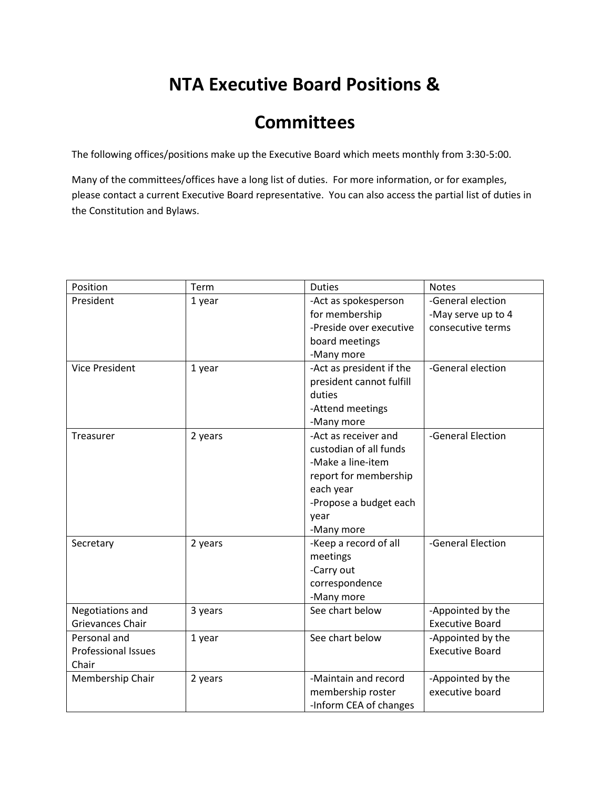## **NTA Executive Board Positions &**

## **Committees**

The following offices/positions make up the Executive Board which meets monthly from 3:30-5:00.

Many of the committees/offices have a long list of duties. For more information, or for examples, please contact a current Executive Board representative. You can also access the partial list of duties in the Constitution and Bylaws.

| Position                   | Term    | <b>Duties</b>            | <b>Notes</b>           |
|----------------------------|---------|--------------------------|------------------------|
| President                  | 1 year  | -Act as spokesperson     | -General election      |
|                            |         | for membership           | -May serve up to 4     |
|                            |         | -Preside over executive  | consecutive terms      |
|                            |         | board meetings           |                        |
|                            |         | -Many more               |                        |
| <b>Vice President</b>      | 1 year  | -Act as president if the | -General election      |
|                            |         | president cannot fulfill |                        |
|                            |         | duties                   |                        |
|                            |         | -Attend meetings         |                        |
|                            |         | -Many more               |                        |
| Treasurer                  | 2 years | -Act as receiver and     | -General Election      |
|                            |         | custodian of all funds   |                        |
|                            |         | -Make a line-item        |                        |
|                            |         | report for membership    |                        |
|                            |         | each year                |                        |
|                            |         | -Propose a budget each   |                        |
|                            |         | year                     |                        |
|                            |         | -Many more               |                        |
| Secretary                  | 2 years | -Keep a record of all    | -General Election      |
|                            |         | meetings                 |                        |
|                            |         | -Carry out               |                        |
|                            |         | correspondence           |                        |
|                            |         | -Many more               |                        |
| Negotiations and           | 3 years | See chart below          | -Appointed by the      |
| Grievances Chair           |         |                          | <b>Executive Board</b> |
| Personal and               | 1 year  | See chart below          | -Appointed by the      |
| <b>Professional Issues</b> |         |                          | <b>Executive Board</b> |
| Chair                      |         |                          |                        |
| Membership Chair           | 2 years | -Maintain and record     | -Appointed by the      |
|                            |         | membership roster        | executive board        |
|                            |         | -Inform CEA of changes   |                        |